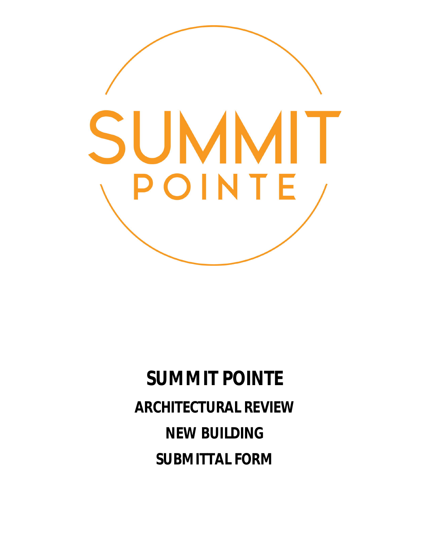

## **SUMMIT POINTE ARCHITECTURAL REVIEW NEW BUILDING SUBMITTAL FORM**